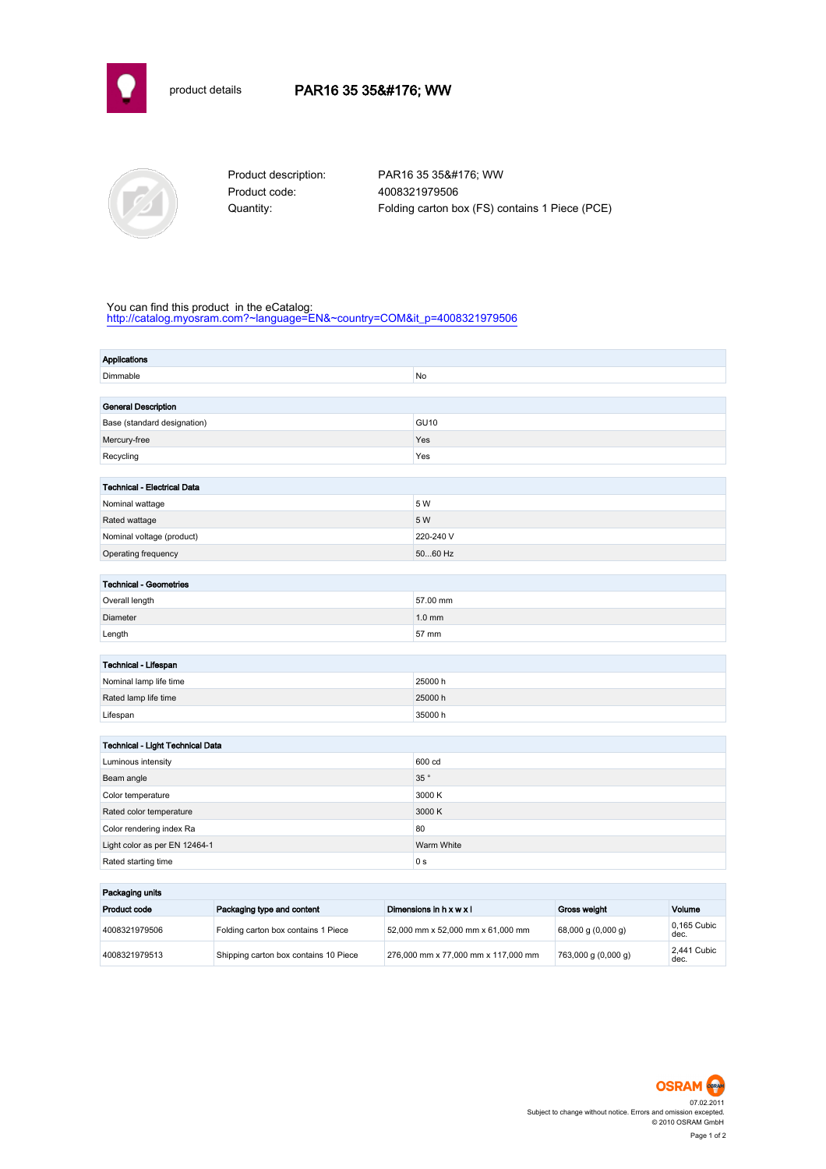



Product code: 4008321979506

Product description: PAR16 35 35° WW Quantity: Folding carton box (FS) contains 1 Piece (PCE)

## You can find this product in the eCatalog:

[http://catalog.myosram.com?~language=EN&~country=COM&it\\_p=4008321979506](http://catalog.myosram.com?~language=EN&~country=COM&it_p=4008321979506)

| <b>Applications</b>                |               |  |  |
|------------------------------------|---------------|--|--|
| Dimmable                           | No            |  |  |
|                                    |               |  |  |
| <b>General Description</b>         |               |  |  |
| Base (standard designation)        | <b>GU10</b>   |  |  |
| Mercury-free                       | Yes           |  |  |
| Recycling                          | Yes           |  |  |
|                                    |               |  |  |
| <b>Technical - Electrical Data</b> |               |  |  |
| Nominal wattage                    | 5 W           |  |  |
| Rated wattage                      | 5 W           |  |  |
| Nominal voltage (product)          | 220-240 V     |  |  |
| Operating frequency                | 5060 Hz       |  |  |
|                                    |               |  |  |
| <b>Technical - Geometries</b>      |               |  |  |
| Overall length                     | 57.00 mm      |  |  |
| Diameter                           | $1.0$ mm      |  |  |
| Length                             | 57 mm         |  |  |
|                                    |               |  |  |
| Technical - Lifespan               |               |  |  |
| Nominal lamp life time             | 25000h        |  |  |
| Rated lamp life time               | 25000h        |  |  |
| Lifespan                           | 35000 h       |  |  |
|                                    |               |  |  |
| Technical - Light Technical Data   |               |  |  |
| Luminous intensity                 | 600 cd        |  |  |
| Beam angle                         | 35 $^{\circ}$ |  |  |
| Color temperature                  | 3000 K        |  |  |
| Rated color temperature            | 3000 K        |  |  |
| Color rendering index Ra           | 80            |  |  |
| Light color as per EN 12464-1      | Warm White    |  |  |
| Rated starting time                | 0 s           |  |  |
|                                    |               |  |  |

| Packaging units |                                       |                                     |                                      |                     |
|-----------------|---------------------------------------|-------------------------------------|--------------------------------------|---------------------|
| Product code    | Packaging type and content            | Dimensions in $h \times w \times l$ | Gross weight                         | Volume              |
| 4008321979506   | Folding carton box contains 1 Piece   | 52,000 mm x 52,000 mm x 61,000 mm   | $(0.000 \text{ g})(0.000 \text{ g})$ | 0.165 Cubic<br>dec. |
| 4008321979513   | Shipping carton box contains 10 Piece | 276,000 mm x 77,000 mm x 117,000 mm | 763,000 g (0,000 g)                  | 2.441 Cubic<br>dec. |